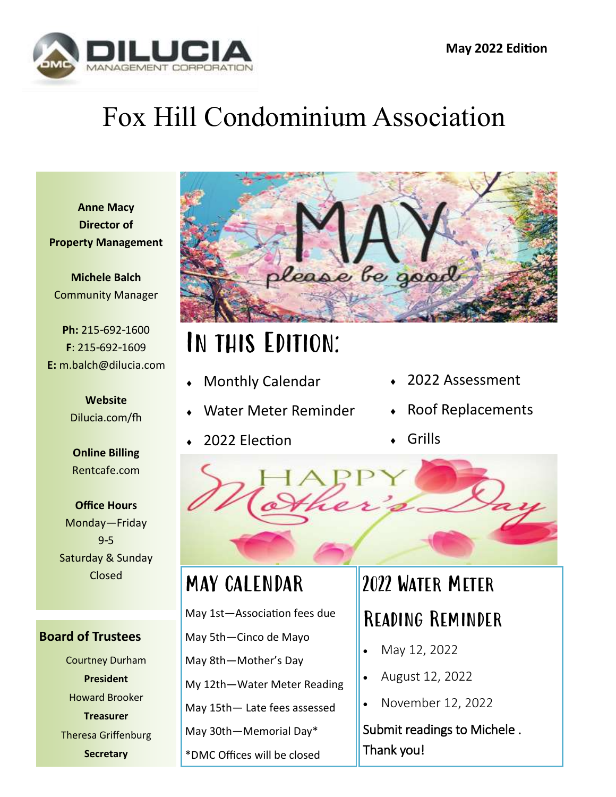

# Fox Hill Condominium Association

**Anne Macy Director of Property Management**

**Michele Balch** Community Manager

**Ph:** 215-692-1600 **F**: 215-692-1609 **E:** m.balch@dilucia.com

> **Website** Dilucia.com/fh

**Online Billing** Rentcafe.com

**Office Hours** Monday—Friday 9-5 Saturday & Sunday Closed

**Board of Trustees** Courtney Durham **President** Howard Brooker **Treasurer** Theresa Griffenburg **Secretary**



# In this Edition:

- Monthly Calendar
- Water Meter Reminder
- 2022 Election
- ◆ 2022 Assessment
- Roof Replacements
- Grills



### MAY CALENDAR

May 1st—Association fees due

- May 5th—Cinco de Mayo
- May 8th—Mother's Day

My 12th—Water Meter Reading

May 15th— Late fees assessed

May 30th—Memorial Day\*

\*DMC Offices will be closed

## 2022 Water Meter Reading Reminder

- May 12, 2022
- August 12, 2022
- November 12, 2022

Submit readings to Michele . Thank you!